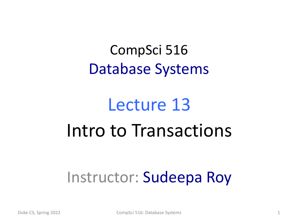#### CompSci 516 Database Systems

# Lecture 13 Intro to Transactions

#### Instructor: Sudeepa Roy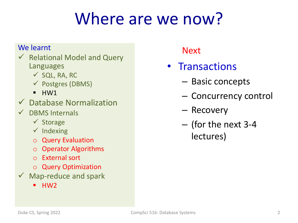### Where are we now?

#### We learnt

- $\checkmark$  Relational Model and Query Languages
	- $\checkmark$  SQL, RA, RC
	- $\checkmark$  Postgres (DBMS)
	- $\blacksquare$  HW1
- $\checkmark$  Database Normalization
- DBMS Internals
	- $\checkmark$  Storage
	- $\checkmark$  Indexing
	- o Query Evaluation
	- o Operator Algorithms
	- o External sort
	- o Query Optimization
- $\checkmark$  Map-reduce and spark
	- § HW2

**Next** 

- Transactions
	- Basic concepts
	- Concurrency control
	- Recovery
	- (for the next 3-4 lectures)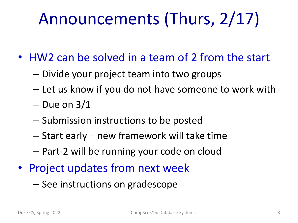# Announcements (Thurs, 2/17)

- HW2 can be solved in a team of 2 from the start
	- Divide your project team into two groups
	- Let us know if you do not have someone to work with
	- $-$  Due on  $3/1$
	- Submission instructions to be posted
	- Start early new framework will take time
	- Part-2 will be running your code on cloud
- Project updates from next week
	- See instructions on gradescope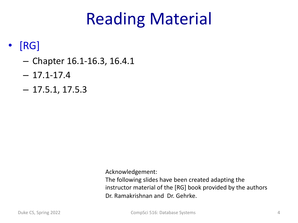#### Reading Material

#### • [RG]

- Chapter 16.1-16.3, 16.4.1
- $-17.1 17.4$
- $-17.5.1, 17.5.3$

Acknowledgement:

The following slides have been created adapting the instructor material of the [RG] book provided by the authors Dr. Ramakrishnan and Dr. Gehrke.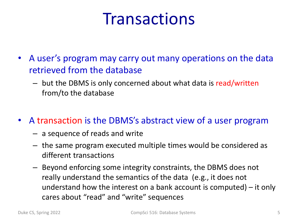#### **Transactions**

- A user's program may carry out many operations on the data retrieved from the database
	- but the DBMS is only concerned about what data is read/written from/to the database
- A transaction is the DBMS's abstract view of a user program
	- a sequence of reads and write
	- the same program executed multiple times would be considered as different transactions
	- Beyond enforcing some integrity constraints, the DBMS does not really understand the semantics of the data (e.g., it does not understand how the interest on a bank account is computed) – it only cares about "read" and "write" sequences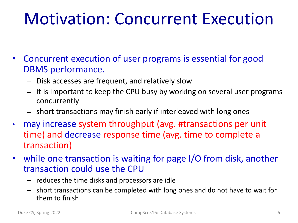#### Motivation: Concurrent Execution

- Concurrent execution of user programs is essential for good DBMS performance.
	- Disk accesses are frequent, and relatively slow
	- it is important to keep the CPU busy by working on several user programs concurrently
	- short transactions may finish early if interleaved with long ones
- may increase system throughput (avg. #transactions per unit time) and decrease response time (avg. time to complete a transaction)
- while one transaction is waiting for page I/O from disk, another transaction could use the CPU
	- reduces the time disks and processors are idle
	- short transactions can be completed with long ones and do not have to wait for them to finish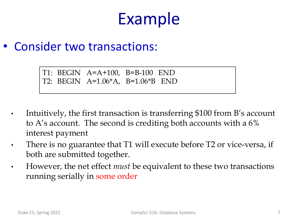#### Example

#### • Consider two transactions:

- Intuitively, the first transaction is transferring \$100 from B's account to A's account. The second is crediting both accounts with a 6% interest payment
- There is no guarantee that T1 will execute before T2 or vice-versa, if both are submitted together.
- However, the net effect *must* be equivalent to these two transactions running serially in some order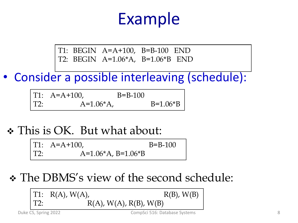#### Example

T1: BEGIN A=A+100, B=B-100 END T2: BEGIN A=1.06\*A, B=1.06\*B END

• Consider a possible interleaving (schedule):

|     | $T1: A=A+100,$ | $B = B - 100$ |            |
|-----|----------------|---------------|------------|
| T2: | $A=1.06*A$ ,   |               | $B=1.06*B$ |

v This is OK. But what about:

T1: A=A+100, B=B-100 T2: A=1.06\*A, B=1.06\*B

\* The DBMS's view of the second schedule:

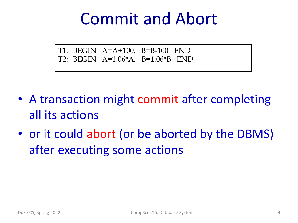#### Commit and Abort

- A transaction might commit after completing all its actions
- or it could abort (or be aborted by the DBMS) after executing some actions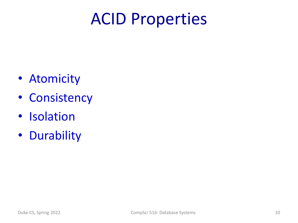#### ACID Properties

- Atomicity
- Consistency
- Isolation
- Durability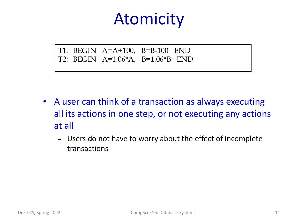#### Atomicity

- A user can think of a transaction as always executing all its actions in one step, or not executing any actions at all
	- Users do not have to worry about the effect of incomplete transactions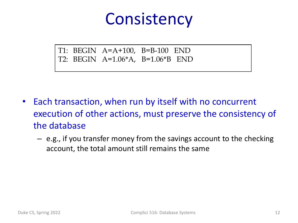#### **Consistency**

- Each transaction, when run by itself with no concurrent execution of other actions, must preserve the consistency of the database
	- e.g., if you transfer money from the savings account to the checking account, the total amount still remains the same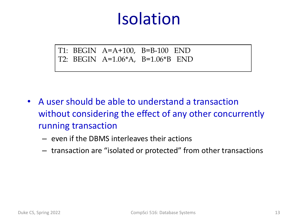#### Isolation

- A user should be able to understand a transaction without considering the effect of any other concurrently running transaction
	- even if the DBMS interleaves their actions
	- transaction are "isolated or protected" from other transactions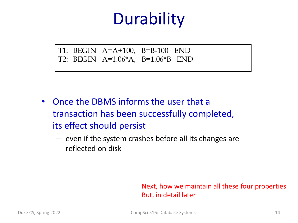### **Durability**

T1: BEGIN A=A+100, B=B-100 END T2: BEGIN A=1.06\*A, B=1.06\*B END

- Once the DBMS informs the user that a transaction has been successfully completed, its effect should persist
	- even if the system crashes before all its changes are reflected on disk

#### Next, how we maintain all these four properties But, in detail later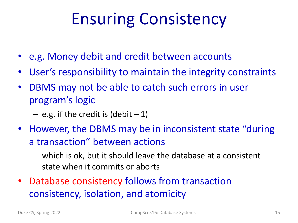# Ensuring Consistency

- e.g. Money debit and credit between accounts
- User's responsibility to maintain the integrity constraints
- DBMS may not be able to catch such errors in user program's logic
	- $-$  e.g. if the credit is (debit  $-1$ )
- However, the DBMS may be in inconsistent state "during a transaction" between actions
	- which is ok, but it should leave the database at a consistent state when it commits or aborts
- Database consistency follows from transaction consistency, isolation, and atomicity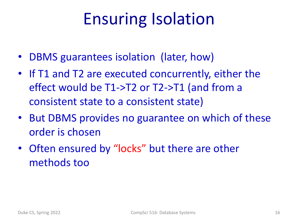### Ensuring Isolation

- DBMS guarantees isolation (later, how)
- If T1 and T2 are executed concurrently, either the effect would be T1->T2 or T2->T1 (and from a consistent state to a consistent state)
- But DBMS provides no guarantee on which of these order is chosen
- Often ensured by "locks" but there are other methods too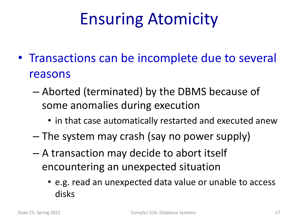# Ensuring Atomicity

- Transactions can be incomplete due to several reasons
	- Aborted (terminated) by the DBMS because of some anomalies during execution
		- in that case automatically restarted and executed anew
	- The system may crash (say no power supply)
	- A transaction may decide to abort itself encountering an unexpected situation
		- e.g. read an unexpected data value or unable to access disks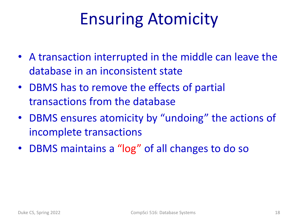### Ensuring Atomicity

- A transaction interrupted in the middle can leave the database in an inconsistent state
- DBMS has to remove the effects of partial transactions from the database
- DBMS ensures atomicity by "undoing" the actions of incomplete transactions
- DBMS maintains a "log" of all changes to do so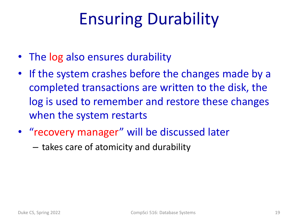# Ensuring Durability

- The log also ensures durability
- If the system crashes before the changes made by a completed transactions are written to the disk, the log is used to remember and restore these changes when the system restarts
- "recovery manager" will be discussed later
	- takes care of atomicity and durability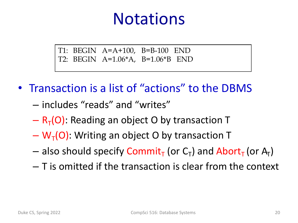#### **Notations**

- Transaction is a list of "actions" to the DBMS
	- includes "reads" and "writes"
	- $-R<sub>T</sub>(O)$ : Reading an object O by transaction T
	- $-\mathsf{W}_{\tau}(O)$ : Writing an object O by transaction T
	- $-$  also should specify Commit<sub>T</sub> (or C<sub>T</sub>) and Abort<sub>T</sub> (or A<sub>T</sub>)
	- T is omitted if the transaction is clear from the context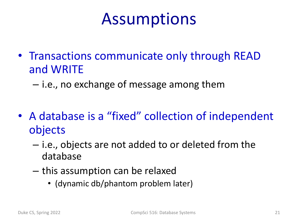#### Assumptions

- Transactions communicate only through READ and WRITE
	- i.e., no exchange of message among them
- A database is a "fixed" collection of independent objects
	- i.e., objects are not added to or deleted from the database
	- this assumption can be relaxed
		- (dynamic db/phantom problem later)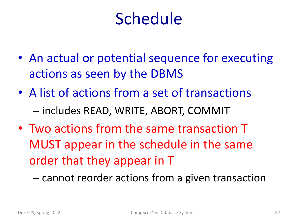#### Schedule

- An actual or potential sequence for executing actions as seen by the DBMS
- A list of actions from a set of transactions – includes READ, WRITE, ABORT, COMMIT
- Two actions from the same transaction T MUST appear in the schedule in the same order that they appear in T

– cannot reorder actions from a given transaction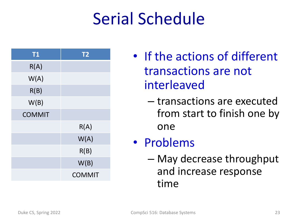### Serial Schedule

| <b>T1</b>     | <b>T2</b>     |
|---------------|---------------|
| R(A)          |               |
| W(A)          |               |
| R(B)          |               |
| W(B)          |               |
| <b>COMMIT</b> |               |
|               | R(A)          |
|               | W(A)          |
|               | R(B)          |
|               | W(B)          |
|               | <b>COMMIT</b> |

- If the actions of different transactions are not interleaved
	- transactions are executed from start to finish one by one

#### • Problems

– May decrease throughput and increase response time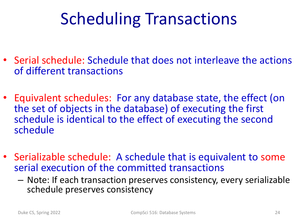# Scheduling Transactions

- Serial schedule: Schedule that does not interleave the actions of different transactions
- Equivalent schedules: For any database state, the effect (on the set of objects in the database) of executing the first schedule is identical to the effect of executing the second schedule
- Serializable schedule: A schedule that is equivalent to some serial execution of the committed transactions
	- Note: If each transaction preserves consistency, every serializable schedule preserves consistency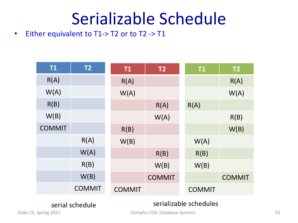#### Serializable Schedule

• Either equivalent to T1-> T2 or to T2 -> T1

| <b>T1</b>     | T <sub>2</sub> | T1            | T <sub>2</sub> | <b>T1</b>     | T <sub>2</sub> |
|---------------|----------------|---------------|----------------|---------------|----------------|
| R(A)          |                | R(A)          |                |               | R(A)           |
| W(A)          |                | W(A)          |                |               | W(A)           |
| R(B)          |                |               | R(A)           | R(A)          |                |
| W(B)          |                |               | W(A)           |               | R(B)           |
| <b>COMMIT</b> |                | R(B)          |                |               | W(B)           |
|               | R(A)           | W(B)          |                | W(A)          |                |
|               | W(A)           |               | R(B)           | R(B)          |                |
|               | R(B)           |               | W(B)           | W(B)          |                |
|               | W(B)           |               | <b>COMMIT</b>  |               | <b>COMMIT</b>  |
|               | <b>COMMIT</b>  | <b>COMMIT</b> |                | <b>COMMIT</b> |                |

#### serial schedule serializable schedules

Duke CS, Spring 2022 **CompSci 516: Database Systems** 25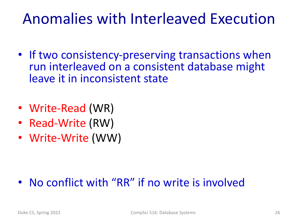#### Anomalies with Interleaved Execution

- If two consistency-preserving transactions when run interleaved on a consistent database might leave it in inconsistent state
- Write-Read (WR)
- Read-Write (RW)
- Write-Write (WW)

#### • No conflict with "RR" if no write is involved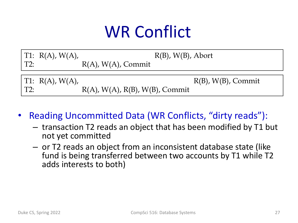# WR Conflict

|             | TT: R(A), W(A), |                                   | $R(B)$ , $W(B)$ , Abort  |
|-------------|-----------------|-----------------------------------|--------------------------|
| $\vert$ T2: |                 | $R(A)$ , $W(A)$ , Commit          |                          |
|             |                 |                                   |                          |
|             | TT: R(A), W(A), |                                   | $R(B)$ , $W(B)$ , Commit |
| T2:         |                 | $R(A)$ , W(A), R(B), W(B), Commit |                          |

• Reading Uncommitted Data (WR Conflicts, "dirty reads"):

- transaction T2 reads an object that has been modified by T1 but not yet committed
- or T2 reads an object from an inconsistent database state (like fund is being transferred between two accounts by T1 while T2 adds interests to both)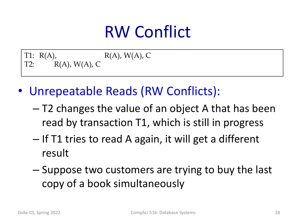### RW Conflict

T1:  $R(A)$ ,  $R(A)$ ,  $W(A)$ , C T2:  $R(A)$ ,  $W(A)$ , C

- Unrepeatable Reads (RW Conflicts):
	- T2 changes the value of an object A that has been read by transaction T1, which is still in progress
	- If T1 tries to read A again, it will get a different result
	- Suppose two customers are trying to buy the last copy of a book simultaneously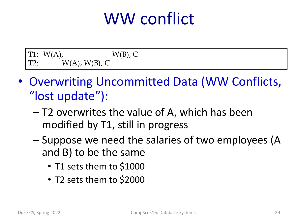#### WW conflict

|        | T1: $W(A)$ ,          | $W(B)$ , C |
|--------|-----------------------|------------|
| $T2$ : | $W(A)$ , $W(B)$ , $C$ |            |

- Overwriting Uncommitted Data (WW Conflicts, "lost update"):
	- T2 overwrites the value of A, which has been modified by T1, still in progress
	- Suppose we need the salaries of two employees (A and B) to be the same
		- T1 sets them to \$1000
		- T2 sets them to \$2000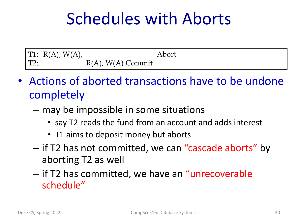#### Schedules with Aborts

T1:  $R(A)$ ,  $W(A)$ , Abort T2:  $R(A)$ ,  $W(A)$  Commit

- Actions of aborted transactions have to be undone completely
	- may be impossible in some situations
		- say T2 reads the fund from an account and adds interest
		- T1 aims to deposit money but aborts
	- if T2 has not committed, we can "cascade aborts" by aborting T2 as well
	- if T2 has committed, we have an "unrecoverable schedule"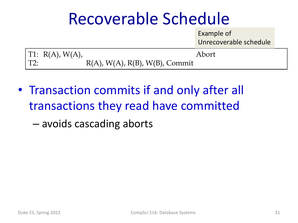#### Recoverable Schedule

Example of Unrecoverable schedule

|             | $\vert T1: R(A), W(A), \vert$ |                                   | Abort |
|-------------|-------------------------------|-----------------------------------|-------|
| $\vert$ T2: |                               | $R(A)$ , W(A), R(B), W(B), Commit |       |

• Transaction commits if and only after all transactions they read have committed

– avoids cascading aborts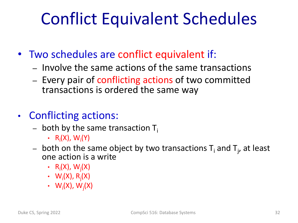### Conflict Equivalent Schedules

- Two schedules are conflict equivalent if:
	- Involve the same actions of the same transactions
	- Every pair of conflicting actions of two committed transactions is ordered the same way
- Conflicting actions:
	- both by the same transaction  $T_i$ 
		- $R_i(X)$ ,  $W_i(Y)$
	- $-$  both on the same object by two transactions T<sub>i</sub> and T<sub>j</sub>, at least one action is a write
		- $R_i(X)$ ,  $W_j(X)$
		- $W_i(X)$ ,  $R_j(X)$
		- $W_i(X)$ ,  $W_j(X)$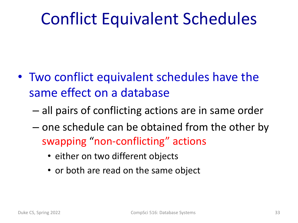### Conflict Equivalent Schedules

- Two conflict equivalent schedules have the same effect on a database
	- all pairs of conflicting actions are in same order
	- one schedule can be obtained from the other by swapping "non-conflicting" actions
		- either on two different objects
		- or both are read on the same object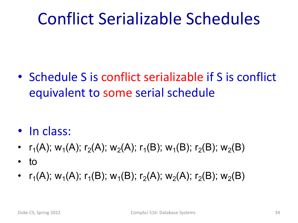### Conflict Serializable Schedules

• Schedule S is conflict serializable if S is conflict equivalent to some serial schedule

- In class:
- $r_1(A)$ ; w<sub>1</sub>(A);  $r_2(A)$ ; w<sub>2</sub>(A);  $r_1(B)$ ; w<sub>1</sub>(B);  $r_2(B)$ ; w<sub>2</sub>(B)
- to
- $r_1(A)$ ; w<sub>1</sub>(A);  $r_1(B)$ ; w<sub>1</sub>(B);  $r_2(A)$ ; w<sub>2</sub>(B); w<sub>2</sub>(B)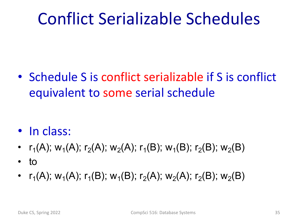### Conflict Serializable Schedules

• Schedule S is conflict serializable if S is conflict equivalent to some serial schedule

- In class:
- $r_1(A)$ ; w<sub>1</sub>(A);  $r_2(A)$ ; w<sub>2</sub>(A);  $r_1(B)$ ; w<sub>1</sub>(B);  $r_2(B)$ ; w<sub>2</sub>(B)
- to
- $r_1(A)$ ; w<sub>1</sub>(A);  $r_1(B)$ ; w<sub>1</sub>(B);  $r_2(A)$ ; w<sub>2</sub>(B); w<sub>2</sub>(B)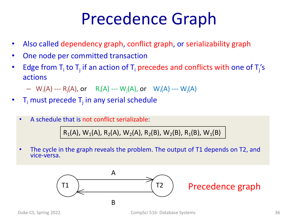#### Precedence Graph

- Also called dependency graph, conflict graph, or serializability graph
- One node per committed transaction
- Edge from T<sub>i</sub> to T<sub>j</sub> if an action of T<sub>i</sub> precedes and conflicts with one of T<sub>j</sub>'s actions
	- $-$  W<sub>i</sub>(A) --- R<sub>j</sub>(A), or R<sub>i</sub>(A) --- W<sub>j</sub>(A), or W<sub>i</sub>(A) --- W<sub>j</sub>(A)
- $T_i$  must precede  $T_i$  in any serial schedule
	- A schedule that is not conflict serializable:

 $R_1(A)$ , W<sub>1</sub>(A), R<sub>2</sub>(A), W<sub>2</sub>(A), R<sub>2</sub>(B), W<sub>2</sub>(B), R<sub>1</sub>(B), W<sub>1</sub>(B)

• The cycle in the graph reveals the problem. The output of T1 depends on T2, and vice-versa.

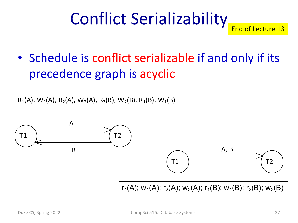# Conflict Serializability

End of Lecture 13

• Schedule is conflict serializable if and only if its precedence graph is acyclic

 $R_1(A)$ , W<sub>1</sub>(A), R<sub>2</sub>(A), W<sub>2</sub>(A), R<sub>2</sub>(B), W<sub>2</sub>(B), R<sub>1</sub>(B), W<sub>1</sub>(B)

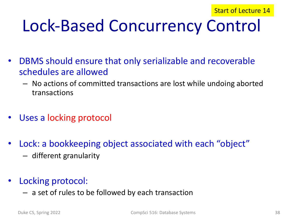# Lock-Based Concurrency Control

- DBMS should ensure that only serializable and recoverable schedules are allowed
	- No actions of committed transactions are lost while undoing aborted transactions
- Uses a locking protocol
- Lock: a bookkeeping object associated with each "object"
	- different granularity
- Locking protocol:
	- a set of rules to be followed by each transaction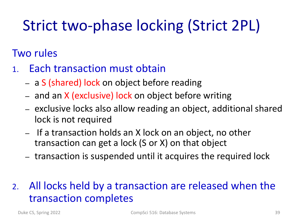#### Strict two-phase locking (Strict 2PL)

#### Two rules

- 1. Each transaction must obtain
	- a S (shared) lock on object before reading
	- and an X (exclusive) lock on object before writing
	- exclusive locks also allow reading an object, additional shared lock is not required
	- If a transaction holds an X lock on an object, no other transaction can get a lock (S or X) on that object
	- transaction is suspended until it acquires the required lock
- 2. All locks held by a transaction are released when the transaction completes

Duke CS, Spring 2022 CompSci 516: Database Systems 39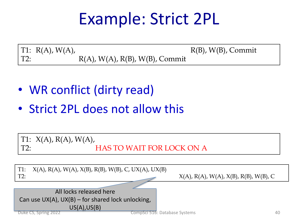#### Example: Strict 2PL

T1:  $R(A)$ ,  $W(A)$ ,  $R(B)$ ,  $W(B)$ , Commit T2:  $R(A)$ ,  $W(A)$ ,  $R(B)$ ,  $W(B)$ , Commit

- WR conflict (dirty read)
- Strict 2PL does not allow this



Duke CS, Spring 2022 CompSci 516: Database Systems 40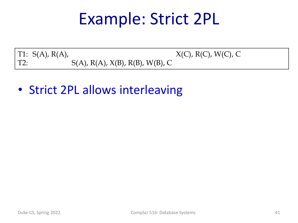#### Example: Strict 2PL

T1:  $S(A)$ ,  $R(A)$ ,  $X(C)$ ,  $R(C)$ ,  $W(C)$ ,  $C$ T2:  $S(A), R(A), X(B), R(B), W(B), C$ 

• Strict 2PL allows interleaving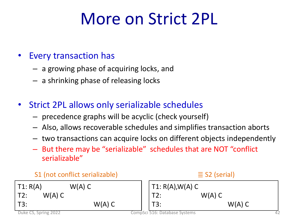### More on Strict 2PL

#### • Every transaction has

- a growing phase of acquiring locks, and
- a shrinking phase of releasing locks
- Strict 2PL allows only serializable schedules
	- precedence graphs will be acyclic (check yourself)
	- Also, allows recoverable schedules and simplifies transaction aborts
	- two transactions can acquire locks on different objects independently
	- But there may be "serializable" schedules that are NOT "conflict serializable"

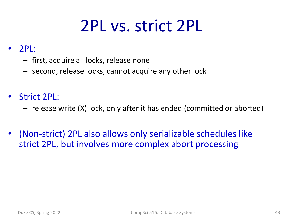#### 2PL vs. strict 2PL

#### $\overline{2P}$ :

- first, acquire all locks, release none
- second, release locks, cannot acquire any other lock
- Strict 2PL:
	- release write (X) lock, only after it has ended (committed or aborted)
- (Non-strict) 2PL also allows only serializable schedules like strict 2PL, but involves more complex abort processing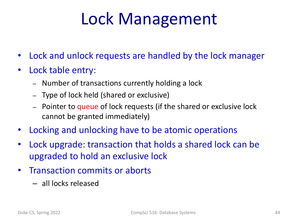#### Lock Management

- Lock and unlock requests are handled by the lock manager
- Lock table entry:
	- Number of transactions currently holding a lock
	- Type of lock held (shared or exclusive)
	- Pointer to queue of lock requests (if the shared or exclusive lock cannot be granted immediately)
- Locking and unlocking have to be atomic operations
- Lock upgrade: transaction that holds a shared lock can be upgraded to hold an exclusive lock
- Transaction commits or aborts
	- all locks released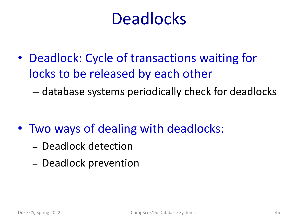#### **Deadlocks**

• Deadlock: Cycle of transactions waiting for locks to be released by each other

– database systems periodically check for deadlocks

- Two ways of dealing with deadlocks:
	- Deadlock detection
	- Deadlock prevention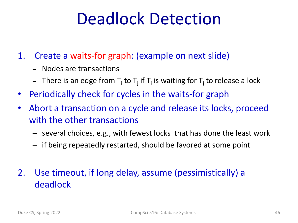#### Deadlock Detection

1. Create a waits-for graph: (example on next slide)

- Nodes are transactions
- There is an edge from  $T_i$  to  $T_i$  if  $T_i$  is waiting for  $T_i$  to release a lock
- Periodically check for cycles in the waits-for graph
- Abort a transaction on a cycle and release its locks, proceed with the other transactions
	- several choices, e.g., with fewest locks that has done the least work
	- if being repeatedly restarted, should be favored at some point

#### 2. Use timeout, if long delay, assume (pessimistically) a deadlock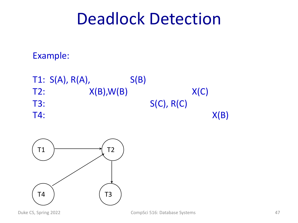#### Deadlock Detection

#### Example:

T1:  $S(A)$ ,  $R(A)$ ,  $S(B)$ T2:  $X(B), W(B)$   $X(C)$ T3: S(C), R(C)  $T4:$   $X(B)$ 

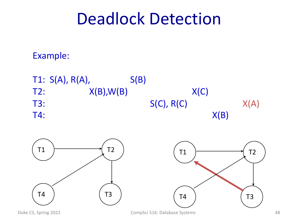#### Deadlock Detection

#### Example:





Duke CS, Spring 2022 **CompSci 516: Database Systems** 48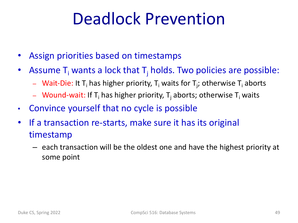#### Deadlock Prevention

- Assign priorities based on timestamps
- Assume  $T_i$  wants a lock that  $T_i$  holds. Two policies are possible:
	- $-$  Wait-Die: It T<sub>i</sub> has higher priority, T<sub>i</sub> waits for T<sub>j</sub>; otherwise T<sub>i</sub> aborts
	- Wound-wait: If T<sub>i</sub> has higher priority, T<sub>i</sub> aborts; otherwise T<sub>i</sub> waits
- Convince yourself that no cycle is possible
- If a transaction re-starts, make sure it has its original timestamp
	- each transaction will be the oldest one and have the highest priority at some point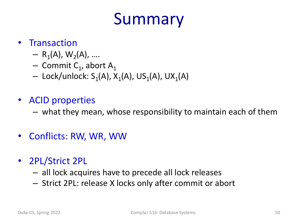### Summary

#### • Transaction

- $R_1(A), W_2(A), ...$
- Commit  $C_1$ , abort A<sub>1</sub>
- Lock/unlock:  $S_1(A)$ ,  $X_1(A)$ , US<sub>1</sub>(A), UX<sub>1</sub>(A)
- ACID properties
	- what they mean, whose responsibility to maintain each of them
- Conflicts: RW, WR, WW
- 2PL/Strict 2PL
	- all lock acquires have to precede all lock releases
	- Strict 2PL: release X locks only after commit or abort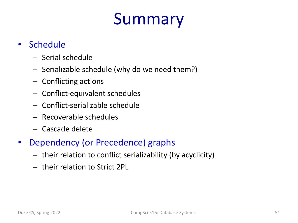### Summary

#### • Schedule

- Serial schedule
- Serializable schedule (why do we need them?)
- Conflicting actions
- Conflict-equivalent schedules
- Conflict-serializable schedule
- Recoverable schedules
- Cascade delete
- Dependency (or Precedence) graphs
	- their relation to conflict serializability (by acyclicity)
	- their relation to Strict 2PL